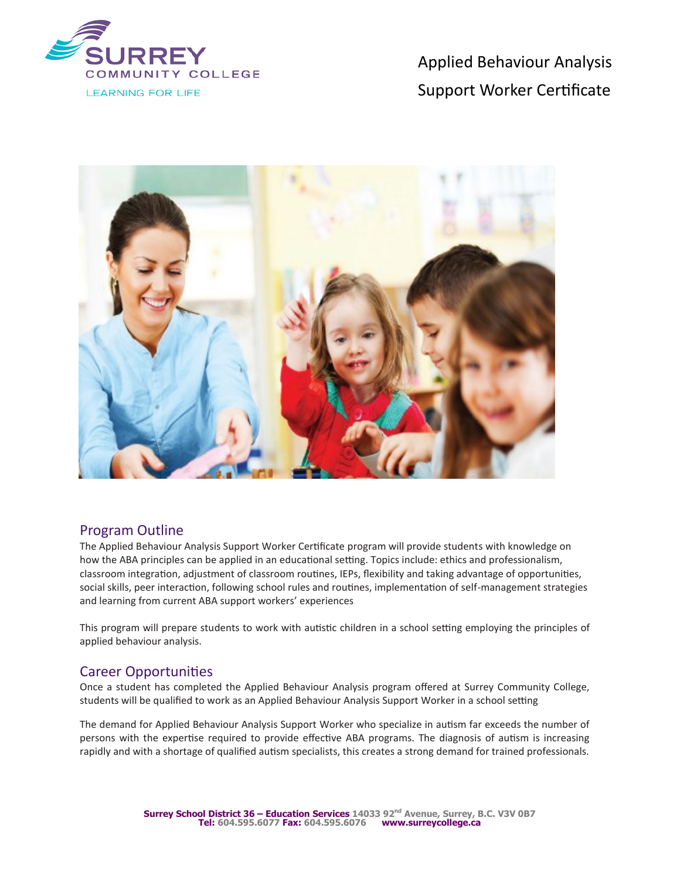

Applied Behaviour Analysis Support Worker Certificate



### Program Outline

The Applied Behaviour Analysis Support Worker Certificate program will provide students with knowledge on how the ABA principles can be applied in an educational setting. Topics include: ethics and professionalism, classroom integration, adjustment of classroom routines, IEPs, flexibility and taking advantage of opportunities, social skills, peer interaction, following school rules and routines, implementation of self-management strategies and learning from current ABA support workers' experiences.

This program will prepare students to work with autistic children in a school setting employing the principles of applied behaviour analysis.

### Career Opportunities

Once a student has completed the Applied Behaviour Analysis program offered at Surrey Community College, students will be qualified to work as an Applied Behaviour Analysis Support Worker in a school setting.

The demand for Applied Behaviour Analysis Support Worker who specialize in autism far exceeds the number of persons with the expertise required to provide effective ABA programs. The diagnosis of autism is increasing rapidly and with a shortage of qualified autism specialists, this creates a strong demand for trained professionals.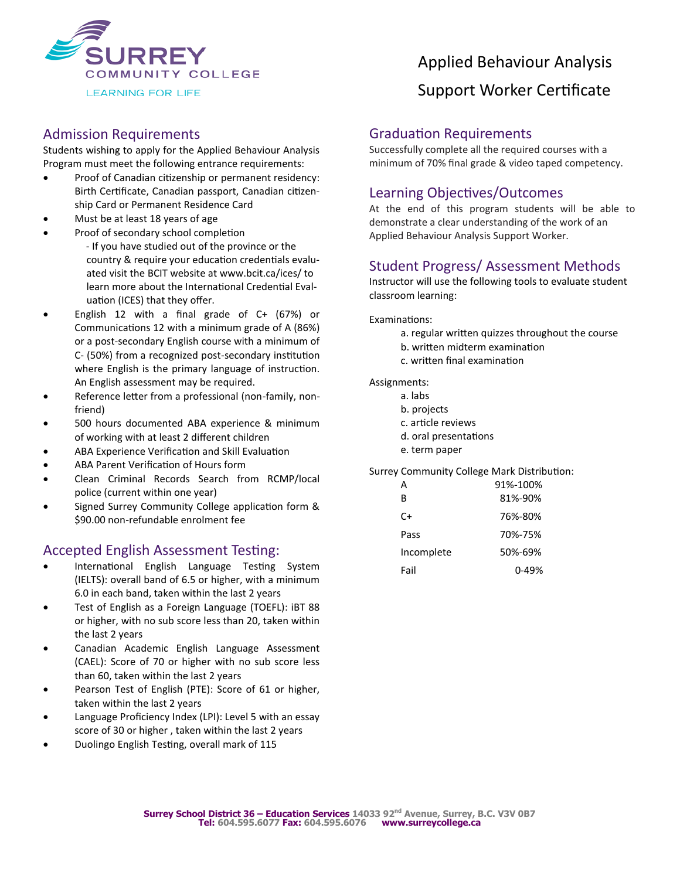

### Admission Requirements

Students wishing to apply for the Applied Behaviour Analysis Program must meet the following entrance requirements:

- Proof of Canadian citizenship or permanent residency: Birth Certificate, Canadian passport, Canadian citizenship Card or Permanent Residence Card
- Must be at least 18 years of age
	- Proof of secondary school completion - If you have studied out of the province or the country & require your education credentials evaluated visit the BCIT website at www.bcit.ca/ices/ to learn more about the International Credential Evaluation (ICES) that they offer.
- English 12 with a final grade of C+ (67%) or Communications 12 with a minimum grade of A (86%) or a post-secondary English course with a minimum of C- (50%) from a recognized post-secondary institution where English is the primary language of instruction. An English assessment may be required.
- Reference letter from a professional (non-family, nonfriend)
- 500 hours documented ABA experience & minimum of working with at least 2 different children
- ABA Experience Verification and Skill Evaluation
- ABA Parent Verification of Hours form
- Clean Criminal Records Search from RCMP/local police (current within one year)
- Signed Surrey Community College application form & \$90.00 non-refundable enrolment fee

### Accepted English Assessment Testing:

- International English Language Testing System (IELTS): overall band of 6.5 or higher, with a minimum 6.0 in each band, taken within the last 2 years
- Test of English as a Foreign Language (TOEFL): iBT 88 or higher, with no sub score less than 20, taken within the last 2 years
- Canadian Academic English Language Assessment (CAEL): Score of 70 or higher with no sub score less than 60, taken within the last 2 years
- Pearson Test of English (PTE): Score of 61 or higher, taken within the last 2 years
- Language Proficiency Index (LPI): Level 5 with an essay score of 30 or higher , taken within the last 2 years
- Duolingo English Testing, overall mark of 115

# Applied Behaviour Analysis Support Worker Certificate

#### Graduation Requirements

Successfully complete all the required courses with a minimum of 70% final grade & video taped competency.

# Learning Objectives/Outcomes

At the end of this program students will be able to demonstrate a clear understanding of the work of an Applied Behaviour Analysis Support Worker.

# Student Progress/ Assessment Methods

Instructor will use the following tools to evaluate student classroom learning:

Examinations:

- a. regular written quizzes throughout the course
- b. written midterm examination
- c. written final examination

Assignments:

- a. labs
- b. projects
- c. article reviews
- d. oral presentations
- e. term paper

Surrey Community College Mark Distribution:

| А          | 91%-100% |
|------------|----------|
| R          | 81%-90%  |
| C+         | 76%-80%  |
| Pass       | 70%-75%  |
| Incomplete | 50%-69%  |
| Fail       | በ-49%    |
|            |          |